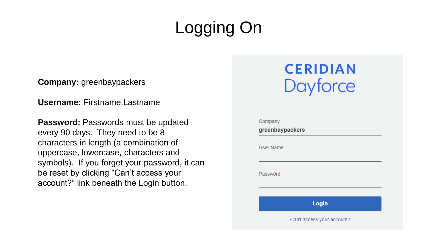# Logging On

**Company:** greenbaypackers

**Username:** Firstname.Lastname

Password: Passwords must be updated every 90 days. They need to be 8 characters in length (a combination of uppercase, lowercase, characters and symbols). If you forget your password, it can be reset by clicking "Can't access your account?" link beneath the Login button.



| Company                    |  |
|----------------------------|--|
| greenbaypackers            |  |
|                            |  |
| User Name                  |  |
|                            |  |
|                            |  |
| Password                   |  |
|                            |  |
|                            |  |
|                            |  |
| Login                      |  |
| Can't access your account? |  |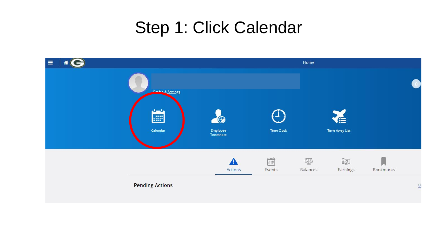### Step 1: Click Calendar

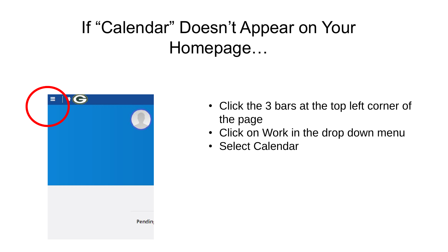## If "Calendar" Doesn't Appear on Your Homepage…



- Click the 3 bars at the top left corner of the page
- Click on Work in the drop down menu
- Select Calendar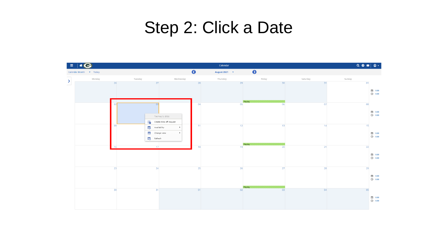#### Step 2: Click a Date

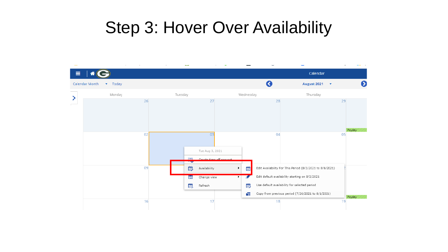#### Step 3: Hover Over Availability

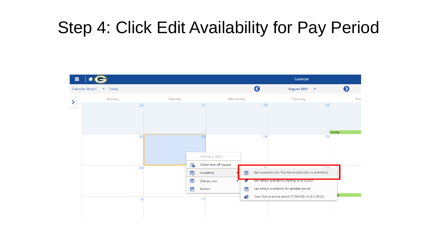### Step 4: Click Edit Availability for Pay Period

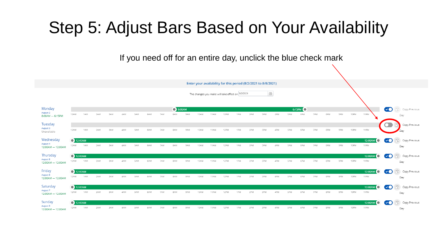### Step 5: Adjust Bars Based on Your Availability

If you need off for an entire day, unclick the blue check mark

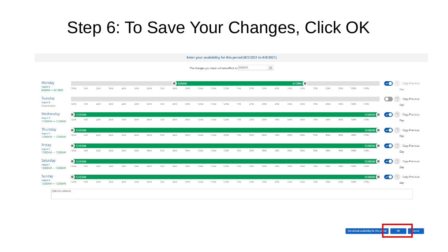### Step 6: To Save Your Changes, Click OK

Enter your availability for this period (8/2/2021 to 8/8/2021)

 $\left[\begin{smallmatrix} 0 & 0 \\ 0 & 0 \end{smallmatrix}\right]$ 

The changes you make will take effect on 8/2/2021

| Monday<br>August 2<br>$8:00AM - 6:15PM$    | 12AM            | 1AM | 2AM | 3AM | 4AM | 5AM        | 6AM        | 7AM | <b>0</b> 8:00 AM<br>8AM | 9AM        | 10AM | 11AM | 12PM | 1PM | 2PM | 3PM | 4PM | <b>SPM</b> | $6:15PM$ $\bigcirc$<br>6PM | 7PM | 8PM | 9PM | 10PM | 11PM                         | $\hfill\ensuremath{\mathbb{D}}$<br>$\bullet$<br>Copy Previous<br>Day |
|--------------------------------------------|-----------------|-----|-----|-----|-----|------------|------------|-----|-------------------------|------------|------|------|------|-----|-----|-----|-----|------------|----------------------------|-----|-----|-----|------|------------------------------|----------------------------------------------------------------------|
| Tuesday<br>August 3<br>Unavailable         | 12AM            | 1AM | 2AM | 3AM | 4AM | <b>5AM</b> | 6AM        | 7AM | 8AM                     | 9AM        | MA01 | 11AM | 12PM | 1PM | 2PM | 3PM | 4PM | 5PM        | 6PM                        | 7PM | 8PM | 9PM | 10PM | 11PM                         | $\mathbb{D}$<br>$\qquad \qquad \qquad \Box$<br>Copy Previous<br>Day  |
| Wednesday<br>August 4<br>12:00AM - 12:00AM | 12:00AM<br>12AM | 1AM | 2AM | 3AM | 4AM | <b>5AM</b> | <b>GAM</b> | 7AM | <b>RAM</b>              | <b>9AM</b> | 10AM | 11AM | 12PM | 1PM | 2PM | 3PM | 4PM | 5PM        | 6PM                        | 7PM | 8PM | 9PM | 10PM | 12:00AM<br>11PM              | $\Box$<br><b>CO</b><br>Copy Previous<br>Day                          |
| Thursday<br>August 5<br>12:00AM - 12:00AM  | 12:00AM<br>12AM | 1AM | 2AM | 3AM | 4AM | 5AM        | 6AM        | 7AM | 8AM                     | 9AM        | 10AM | 11AM | 12PM | 1PM | 2PM | 3PM | 4PM | 5PM        | 6PM                        | 7PM | 8PM | 9PM | 10PM | 12:00AM<br>11PM              | $\Box$<br>$\bullet$<br>Copy Previous<br>Day                          |
| Friday<br>August 6<br>12:00AM - 12:00AM    | 12:00AM<br>12AM | 1AM | 2AM | 3AM | 4AM | 5AM        | <b>6AM</b> | 7AM | <b>RAM</b>              | 9AM        | 10AM | 11AM | 12PM | 1PM | 2PM | 3PM | 4PM | 5PM        | 6PM                        | 7PM | 8PM | 9PM | 10PM | 12:00AM<br>11PM              | $\Box$<br>$\bullet$<br>Copy Previous<br>Day                          |
| Saturday<br>August 7<br>12:00AM - 12:00AM  | 12:00AM<br>12AM | 1AM | 2AM | 3AM | 4AM | 5AM        | 6AM        | 7AM | 8AM                     | 9AM        | 10AM | 11AM | 12PM | 1PM | 2PM | 3PM | 4PM | 5PM        | 6PM                        | 7PM | 8PM | 9PM | 10PM | $12:00AM$ $\bigcirc$<br>11PM | $\Box$<br><b>CO</b><br>Copy Previous<br>Day                          |
| Sunday<br>August 8<br>12:00AM - 12:00AM    | 12:00AM<br>12AM | 1AM | 2AM | 3AM | 4AM | 5AM        | 6AM        | 7AM | 8AM                     | 9AM        | 10AM | 11AM | 12PM | 1PM | 2PM | 3PM | 4PM | 5PM        | 6PM                        | 7PM | 8PM | 9PM | 10PM | 12:00AM<br>11PM              | $\Box$<br>$\bullet$<br>Copy Previous<br>Day                          |
| Optional comment                           |                 |     |     |     |     |            |            |     |                         |            |      |      |      |     |     |     |     |            |                            |     |     |     |      |                              |                                                                      |

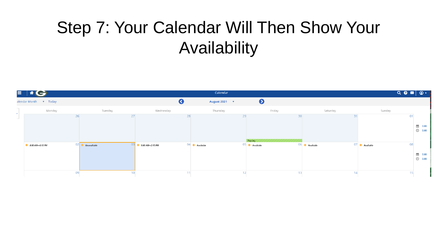## Step 7: Your Calendar Will Then Show Your Availability